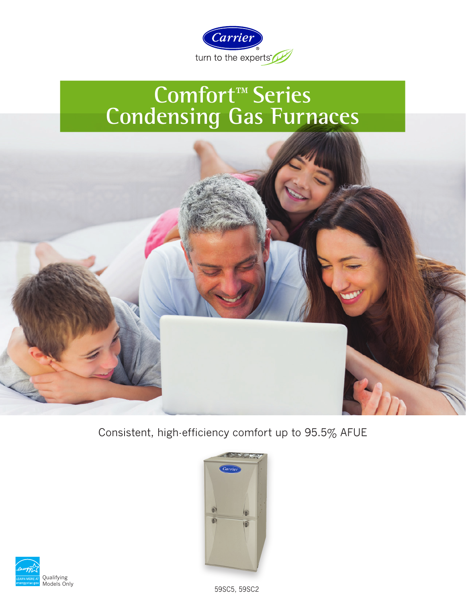

# **Comfort™ Series Condensing Gas Furnaces**



Consistent, high-efficiency comfort up to 95.5% AFUE



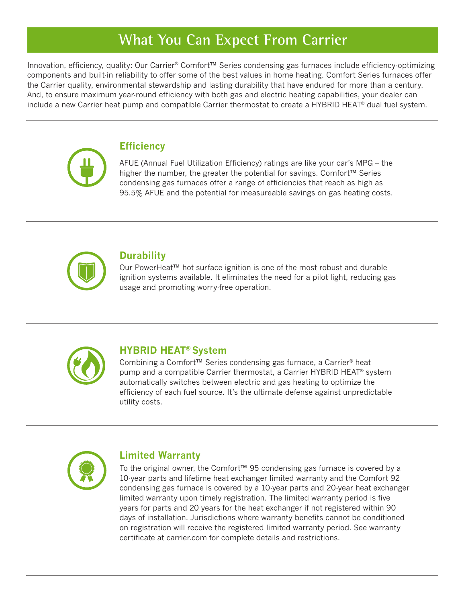## **What You Can Expect From Carrier**

Innovation, efficiency, quality: Our Carrier® Comfort™ Series condensing gas furnaces include efficiency-optimizing components and built-in reliability to offer some of the best values in home heating. Comfort Series furnaces offer the Carrier quality, environmental stewardship and lasting durability that have endured for more than a century. And, to ensure maximum year-round efficiency with both gas and electric heating capabilities, your dealer can include a new Carrier heat pump and compatible Carrier thermostat to create a HYBRID HEAT® dual fuel system.



#### **Efficiency**

AFUE (Annual Fuel Utilization Efficiency) ratings are like your car's MPG – the higher the number, the greater the potential for savings. Comfort™ Series condensing gas furnaces offer a range of efficiencies that reach as high as 95.5% AFUE and the potential for measureable savings on gas heating costs.



#### **Durability**

Our PowerHeat™ hot surface ignition is one of the most robust and durable ignition systems available. It eliminates the need for a pilot light, reducing gas usage and promoting worry-free operation.



#### **HYBRID HEAT® System**

Combining a Comfort™ Series condensing gas furnace, a Carrier® heat pump and a compatible Carrier thermostat, a Carrier HYBRID HEAT® system automatically switches between electric and gas heating to optimize the efficiency of each fuel source. It's the ultimate defense against unpredictable utility costs.



#### **Limited Warranty**

To the original owner, the Comfort™ 95 condensing gas furnace is covered by a 10-year parts and lifetime heat exchanger limited warranty and the Comfort 92 condensing gas furnace is covered by a 10-year parts and 20-year heat exchanger limited warranty upon timely registration. The limited warranty period is five years for parts and 20 years for the heat exchanger if not registered within 90 days of installation. Jurisdictions where warranty benefits cannot be conditioned on registration will receive the registered limited warranty period. See warranty certificate at carrier.com for complete details and restrictions.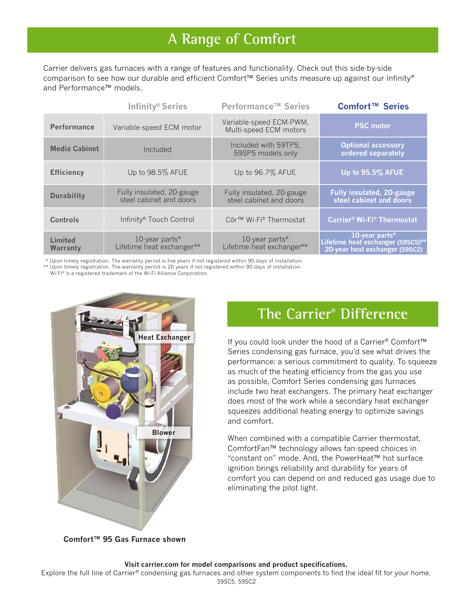## **A Range of Comfort**

Carrier delivers gas furnaces with a range of features and functionality. Check out this side-by-side comparison to see how our durable and efficient Comfort™ Series units measure up against our Infinity® and Performance™ models.

|                            | Infinity® Series                                     | Performance <sup>™</sup> Series                      | Comfort <sup>™</sup> Series                                                           |
|----------------------------|------------------------------------------------------|------------------------------------------------------|---------------------------------------------------------------------------------------|
| <b>Performance</b>         | Variable-speed ECM motor                             | Variable-speed ECM-PWM,<br>Multi-speed ECM motors    | <b>PSC</b> motor                                                                      |
| <b>Media Cabinet</b>       | Included                                             | Included with 59TP5,<br>59SP5 models only            | <b>Optional accessory</b><br>ordered separately                                       |
| <b>Efficiency</b>          | Up to 98.5% AFUE                                     | Up to 96.7% AFUE                                     | Up to 95.5% AFUE                                                                      |
| <b>Durability</b>          | Fully insulated, 20-gauge<br>steel cabinet and doors | Fully insulated, 20-gauge<br>steel cabinet and doors | <b>Fully insulated, 20-gauge</b><br>steel cabinet and doors                           |
| Controls                   | Infinity <sup>®</sup> Touch Control                  | Côr™ Wi-Fi® Thermostat                               | <b>Carrier<sup>®</sup> Wi-Fi<sup>®</sup> Thermostat</b>                               |
| <b>Limited</b><br>Warranty | 10-year parts $*$<br>Lifetime heat exchanger**       | 10-year parts*<br>Lifetime heat exchanger**          | 10-year parts*<br>Lifetime heat exchanger (59SC5)**<br>20-year heat exchanger (59SC2) |

\* Upon timely registration. The warranty period is five years if not registered within 90 days of installation. Wi-Fi ® is a registered trademark of the Wi-Fi Alliance Corporation. \*\* Upon timely registration. The warranty period is 20 years if not registered within 90 days of installation.



### **The Carrier® Difference**

If you could look under the hood of a Carrier® Comfort™ Series condensing gas furnace, you'd see what drives the performance: a serious commitment to quality. To squeeze as much of the heating efficiency from the gas you use as possible, Comfort Series condensing gas furnaces include two heat exchangers. The primary heat exchanger does most of the work while a secondary heat exchanger squeezes additional heating energy to optimize savings and comfort.

When combined with a compatible Carrier thermostat, ComfortFan™ technology allows fan-speed choices in "constant on" mode. And, the PowerHeat™ hot surface ignition brings reliability and durability for years of comfort you can depend on and reduced gas usage due to eliminating the pilot light.

**Comfort™ 95 Gas Furnace shown**

#### **Visit carrier.com for model comparisons and product specifications.**

Explore the full line of Carrier® condensing gas furnaces and other system components to find the ideal fit for your home. 59SC5, 59SC2